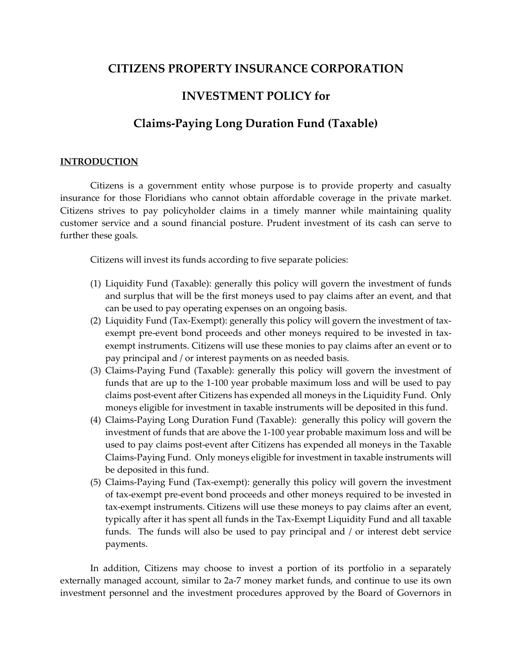# **CITIZENS PROPERTY INSURANCE CORPORATION**

# **INVESTMENT POLICY for**

# **Claims-Paying Long Duration Fund (Taxable)**

#### **INTRODUCTION**

Citizens is a government entity whose purpose is to provide property and casualty insurance for those Floridians who cannot obtain affordable coverage in the private market. Citizens strives to pay policyholder claims in a timely manner while maintaining quality customer service and a sound financial posture. Prudent investment of its cash can serve to further these goals.

Citizens will invest its funds according to five separate policies:

- (1) Liquidity Fund (Taxable): generally this policy will govern the investment of funds and surplus that will be the first moneys used to pay claims after an event, and that can be used to pay operating expenses on an ongoing basis.
- (2) Liquidity Fund (Tax-Exempt): generally this policy will govern the investment of taxexempt pre-event bond proceeds and other moneys required to be invested in taxexempt instruments. Citizens will use these monies to pay claims after an event or to pay principal and / or interest payments on as needed basis.
- (3) Claims-Paying Fund (Taxable): generally this policy will govern the investment of funds that are up to the 1-100 year probable maximum loss and will be used to pay claims post-event after Citizens has expended all moneys in the Liquidity Fund. Only moneys eligible for investment in taxable instruments will be deposited in this fund.
- (4) Claims-Paying Long Duration Fund (Taxable): generally this policy will govern the investment of funds that are above the 1-100 year probable maximum loss and will be used to pay claims post-event after Citizens has expended all moneys in the Taxable Claims-Paying Fund. Only moneys eligible for investment in taxable instruments will be deposited in this fund.
- (5) Claims-Paying Fund (Tax-exempt): generally this policy will govern the investment of tax-exempt pre-event bond proceeds and other moneys required to be invested in tax-exempt instruments. Citizens will use these moneys to pay claims after an event, typically after it has spent all funds in the Tax-Exempt Liquidity Fund and all taxable funds. The funds will also be used to pay principal and / or interest debt service payments.

In addition, Citizens may choose to invest a portion of its portfolio in a separately externally managed account, similar to 2a-7 money market funds, and continue to use its own investment personnel and the investment procedures approved by the Board of Governors in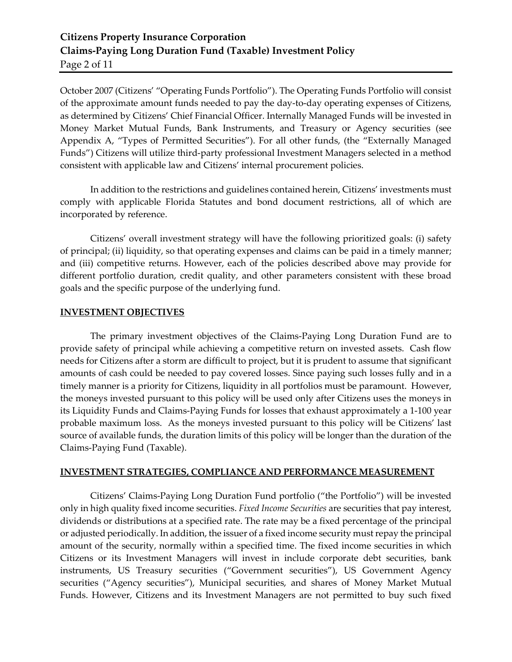# **Citizens Property Insurance Corporation Claims-Paying Long Duration Fund (Taxable) Investment Policy** Page 2 of 11

October 2007 (Citizens' "Operating Funds Portfolio"). The Operating Funds Portfolio will consist of the approximate amount funds needed to pay the day-to-day operating expenses of Citizens, as determined by Citizens' Chief Financial Officer. Internally Managed Funds will be invested in Money Market Mutual Funds, Bank Instruments, and Treasury or Agency securities (see Appendix A, "Types of Permitted Securities"). For all other funds, (the "Externally Managed Funds") Citizens will utilize third-party professional Investment Managers selected in a method consistent with applicable law and Citizens' internal procurement policies.

In addition to the restrictions and guidelines contained herein, Citizens' investments must comply with applicable Florida Statutes and bond document restrictions, all of which are incorporated by reference.

Citizens' overall investment strategy will have the following prioritized goals: (i) safety of principal; (ii) liquidity, so that operating expenses and claims can be paid in a timely manner; and (iii) competitive returns. However, each of the policies described above may provide for different portfolio duration, credit quality, and other parameters consistent with these broad goals and the specific purpose of the underlying fund.

## **INVESTMENT OBJECTIVES**

The primary investment objectives of the Claims-Paying Long Duration Fund are to provide safety of principal while achieving a competitive return on invested assets. Cash flow needs for Citizens after a storm are difficult to project, but it is prudent to assume that significant amounts of cash could be needed to pay covered losses. Since paying such losses fully and in a timely manner is a priority for Citizens, liquidity in all portfolios must be paramount. However, the moneys invested pursuant to this policy will be used only after Citizens uses the moneys in its Liquidity Funds and Claims-Paying Funds for losses that exhaust approximately a 1-100 year probable maximum loss. As the moneys invested pursuant to this policy will be Citizens' last source of available funds, the duration limits of this policy will be longer than the duration of the Claims-Paying Fund (Taxable).

## **INVESTMENT STRATEGIES, COMPLIANCE AND PERFORMANCE MEASUREMENT**

Citizens' Claims-Paying Long Duration Fund portfolio ("the Portfolio") will be invested only in high quality fixed income securities. *Fixed Income Securities* are securities that pay interest, dividends or distributions at a specified rate. The rate may be a fixed percentage of the principal or adjusted periodically. In addition, the issuer of a fixed income security must repay the principal amount of the security, normally within a specified time. The fixed income securities in which Citizens or its Investment Managers will invest in include corporate debt securities, bank instruments, US Treasury securities ("Government securities"), US Government Agency securities ("Agency securities"), Municipal securities, and shares of Money Market Mutual Funds. However, Citizens and its Investment Managers are not permitted to buy such fixed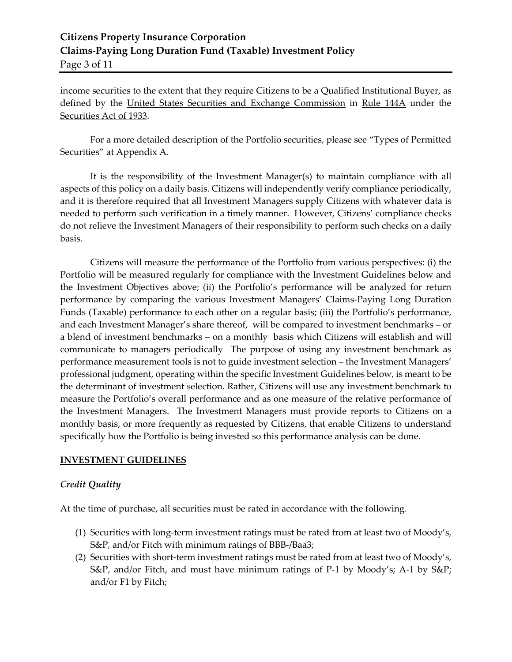# **Citizens Property Insurance Corporation Claims-Paying Long Duration Fund (Taxable) Investment Policy** Page 3 of 11

income securities to the extent that they require Citizens to be a Qualified Institutional Buyer, as defined by the [United States Securities and Exchange Commission](http://en.wikipedia.org/wiki/United_States_Securities_and_Exchange_Commission) in [Rule 144A](http://en.wikipedia.org/wiki/Rule_144A) under the [Securities Act of 1933.](http://en.wikipedia.org/wiki/Securities_Act_of_1933)

For a more detailed description of the Portfolio securities, please see "Types of Permitted Securities" at Appendix A.

It is the responsibility of the Investment Manager(s) to maintain compliance with all aspects of this policy on a daily basis. Citizens will independently verify compliance periodically, and it is therefore required that all Investment Managers supply Citizens with whatever data is needed to perform such verification in a timely manner. However, Citizens' compliance checks do not relieve the Investment Managers of their responsibility to perform such checks on a daily basis.

Citizens will measure the performance of the Portfolio from various perspectives: (i) the Portfolio will be measured regularly for compliance with the Investment Guidelines below and the Investment Objectives above; (ii) the Portfolio's performance will be analyzed for return performance by comparing the various Investment Managers' Claims-Paying Long Duration Funds (Taxable) performance to each other on a regular basis; (iii) the Portfolio's performance, and each Investment Manager's share thereof, will be compared to investment benchmarks – or a blend of investment benchmarks – on a monthly basis which Citizens will establish and will communicate to managers periodically The purpose of using any investment benchmark as performance measurement tools is not to guide investment selection – the Investment Managers' professional judgment, operating within the specific Investment Guidelines below, is meant to be the determinant of investment selection. Rather, Citizens will use any investment benchmark to measure the Portfolio's overall performance and as one measure of the relative performance of the Investment Managers. The Investment Managers must provide reports to Citizens on a monthly basis, or more frequently as requested by Citizens, that enable Citizens to understand specifically how the Portfolio is being invested so this performance analysis can be done.

## **INVESTMENT GUIDELINES**

# *Credit Quality*

At the time of purchase, all securities must be rated in accordance with the following.

- (1) Securities with long-term investment ratings must be rated from at least two of Moody's, S&P, and/or Fitch with minimum ratings of BBB-/Baa3;
- (2) Securities with short-term investment ratings must be rated from at least two of Moody's, S&P, and/or Fitch, and must have minimum ratings of P-1 by Moody's; A-1 by S&P; and/or F1 by Fitch;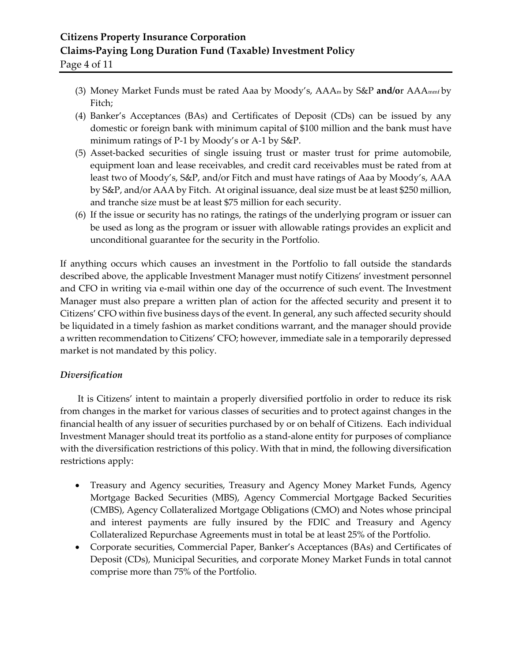# **Citizens Property Insurance Corporation Claims-Paying Long Duration Fund (Taxable) Investment Policy** Page 4 of 11

- (3) Money Market Funds must be rated Aaa by Moody's, AAAm by S&P **and/o**r AAAmmf by Fitch;
- (4) Banker's Acceptances (BAs) and Certificates of Deposit (CDs) can be issued by any domestic or foreign bank with minimum capital of \$100 million and the bank must have minimum ratings of P-1 by Moody's or A-1 by S&P.
- (5) Asset-backed securities of single issuing trust or master trust for prime automobile, equipment loan and lease receivables, and credit card receivables must be rated from at least two of Moody's, S&P, and/or Fitch and must have ratings of Aaa by Moody's, AAA by S&P, and/or AAA by Fitch. At original issuance, deal size must be at least \$250 million, and tranche size must be at least \$75 million for each security.
- (6) If the issue or security has no ratings, the ratings of the underlying program or issuer can be used as long as the program or issuer with allowable ratings provides an explicit and unconditional guarantee for the security in the Portfolio.

If anything occurs which causes an investment in the Portfolio to fall outside the standards described above, the applicable Investment Manager must notify Citizens' investment personnel and CFO in writing via e-mail within one day of the occurrence of such event. The Investment Manager must also prepare a written plan of action for the affected security and present it to Citizens' CFO within five business days of the event. In general, any such affected security should be liquidated in a timely fashion as market conditions warrant, and the manager should provide a written recommendation to Citizens' CFO; however, immediate sale in a temporarily depressed market is not mandated by this policy.

# *Diversification*

It is Citizens' intent to maintain a properly diversified portfolio in order to reduce its risk from changes in the market for various classes of securities and to protect against changes in the financial health of any issuer of securities purchased by or on behalf of Citizens. Each individual Investment Manager should treat its portfolio as a stand-alone entity for purposes of compliance with the diversification restrictions of this policy. With that in mind, the following diversification restrictions apply:

- Treasury and Agency securities, Treasury and Agency Money Market Funds, Agency Mortgage Backed Securities (MBS), Agency Commercial Mortgage Backed Securities (CMBS), Agency Collateralized Mortgage Obligations (CMO) and Notes whose principal and interest payments are fully insured by the FDIC and Treasury and Agency Collateralized Repurchase Agreements must in total be at least 25% of the Portfolio.
- Corporate securities, Commercial Paper, Banker's Acceptances (BAs) and Certificates of Deposit (CDs), Municipal Securities, and corporate Money Market Funds in total cannot comprise more than 75% of the Portfolio.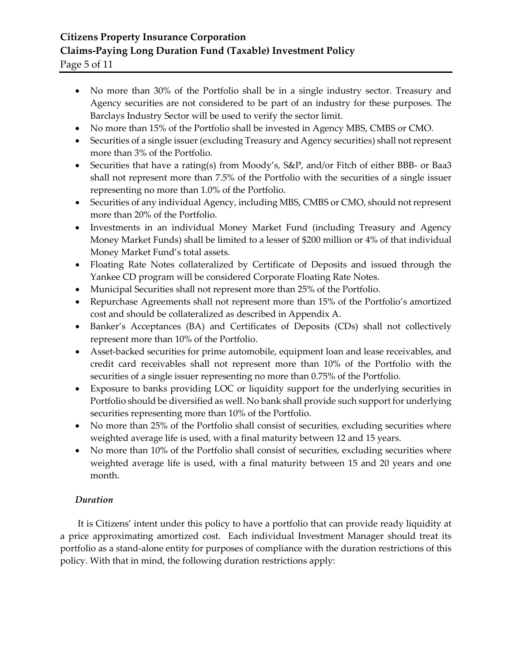# **Citizens Property Insurance Corporation Claims-Paying Long Duration Fund (Taxable) Investment Policy**

Page 5 of 11

- No more than 30% of the Portfolio shall be in a single industry sector. Treasury and Agency securities are not considered to be part of an industry for these purposes. The Barclays Industry Sector will be used to verify the sector limit.
- No more than 15% of the Portfolio shall be invested in Agency MBS, CMBS or CMO.
- Securities of a single issuer (excluding Treasury and Agency securities) shall not represent more than 3% of the Portfolio.
- Securities that have a rating(s) from Moody's, S&P, and/or Fitch of either BBB- or Baa3 shall not represent more than 7.5% of the Portfolio with the securities of a single issuer representing no more than 1.0% of the Portfolio.
- Securities of any individual Agency, including MBS, CMBS or CMO, should not represent more than 20% of the Portfolio.
- Investments in an individual Money Market Fund (including Treasury and Agency Money Market Funds) shall be limited to a lesser of \$200 million or 4% of that individual Money Market Fund's total assets.
- Floating Rate Notes collateralized by Certificate of Deposits and issued through the Yankee CD program will be considered Corporate Floating Rate Notes.
- Municipal Securities shall not represent more than 25% of the Portfolio.
- Repurchase Agreements shall not represent more than 15% of the Portfolio's amortized cost and should be collateralized as described in Appendix A.
- Banker's Acceptances (BA) and Certificates of Deposits (CDs) shall not collectively represent more than 10% of the Portfolio.
- Asset-backed securities for prime automobile, equipment loan and lease receivables, and credit card receivables shall not represent more than 10% of the Portfolio with the securities of a single issuer representing no more than 0.75% of the Portfolio.
- Exposure to banks providing LOC or liquidity support for the underlying securities in Portfolio should be diversified as well. No bank shall provide such support for underlying securities representing more than 10% of the Portfolio.
- No more than 25% of the Portfolio shall consist of securities, excluding securities where weighted average life is used, with a final maturity between 12 and 15 years.
- No more than 10% of the Portfolio shall consist of securities, excluding securities where weighted average life is used, with a final maturity between 15 and 20 years and one month.

# *Duration*

It is Citizens' intent under this policy to have a portfolio that can provide ready liquidity at a price approximating amortized cost. Each individual Investment Manager should treat its portfolio as a stand-alone entity for purposes of compliance with the duration restrictions of this policy. With that in mind, the following duration restrictions apply: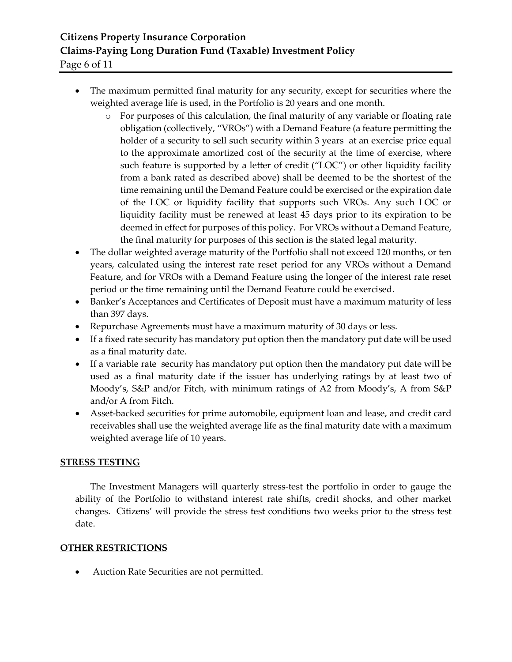# **Citizens Property Insurance Corporation Claims-Paying Long Duration Fund (Taxable) Investment Policy**

Page 6 of 11

- The maximum permitted final maturity for any security, except for securities where the weighted average life is used, in the Portfolio is 20 years and one month.
	- o For purposes of this calculation, the final maturity of any variable or floating rate obligation (collectively, "VROs") with a Demand Feature (a feature permitting the holder of a security to sell such security within 3 years at an exercise price equal to the approximate amortized cost of the security at the time of exercise, where such feature is supported by a letter of credit ("LOC") or other liquidity facility from a bank rated as described above) shall be deemed to be the shortest of the time remaining until the Demand Feature could be exercised or the expiration date of the LOC or liquidity facility that supports such VROs. Any such LOC or liquidity facility must be renewed at least 45 days prior to its expiration to be deemed in effect for purposes of this policy. For VROs without a Demand Feature, the final maturity for purposes of this section is the stated legal maturity.
- The dollar weighted average maturity of the Portfolio shall not exceed 120 months, or ten years, calculated using the interest rate reset period for any VROs without a Demand Feature, and for VROs with a Demand Feature using the longer of the interest rate reset period or the time remaining until the Demand Feature could be exercised.
- Banker's Acceptances and Certificates of Deposit must have a maximum maturity of less than 397 days.
- Repurchase Agreements must have a maximum maturity of 30 days or less.
- If a fixed rate security has mandatory put option then the mandatory put date will be used as a final maturity date.
- If a variable rate security has mandatory put option then the mandatory put date will be used as a final maturity date if the issuer has underlying ratings by at least two of Moody's, S&P and/or Fitch, with minimum ratings of A2 from Moody's, A from S&P and/or A from Fitch.
- Asset-backed securities for prime automobile, equipment loan and lease, and credit card receivables shall use the weighted average life as the final maturity date with a maximum weighted average life of 10 years.

# **STRESS TESTING**

The Investment Managers will quarterly stress-test the portfolio in order to gauge the ability of the Portfolio to withstand interest rate shifts, credit shocks, and other market changes. Citizens' will provide the stress test conditions two weeks prior to the stress test date.

# **OTHER RESTRICTIONS**

• Auction Rate Securities are not permitted.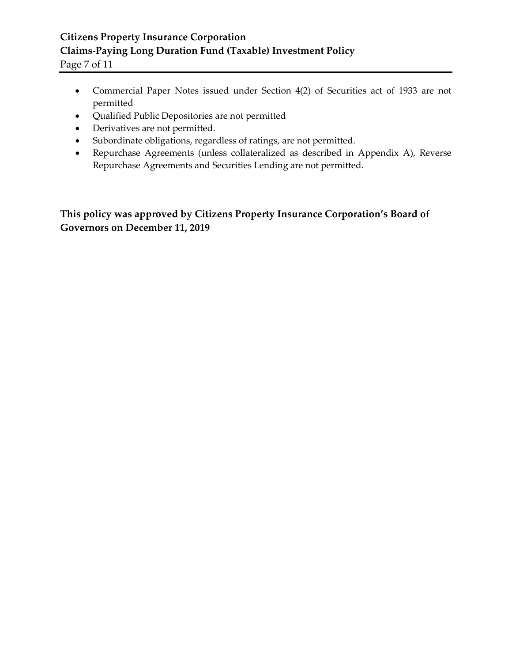# **Citizens Property Insurance Corporation Claims-Paying Long Duration Fund (Taxable) Investment Policy**

Page 7 of 11

- Commercial Paper Notes issued under Section 4(2) of Securities act of 1933 are not permitted
- Qualified Public Depositories are not permitted
- Derivatives are not permitted.
- Subordinate obligations, regardless of ratings, are not permitted.
- Repurchase Agreements (unless collateralized as described in Appendix A), Reverse Repurchase Agreements and Securities Lending are not permitted.

**This policy was approved by Citizens Property Insurance Corporation's Board of Governors on December 11, 2019**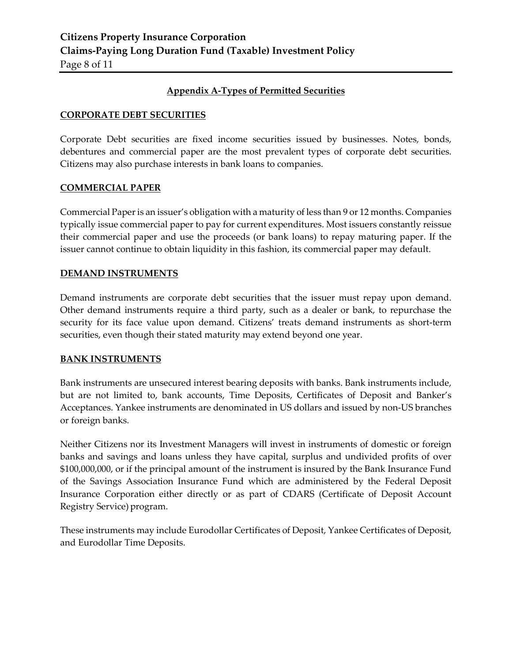## **Appendix A-Types of Permitted Securities**

## **CORPORATE DEBT SECURITIES**

Corporate Debt securities are fixed income securities issued by businesses. Notes, bonds, debentures and commercial paper are the most prevalent types of corporate debt securities. Citizens may also purchase interests in bank loans to companies.

## **COMMERCIAL PAPER**

Commercial Paper is an issuer's obligation with a maturity of less than 9 or 12 months. Companies typically issue commercial paper to pay for current expenditures. Most issuers constantly reissue their commercial paper and use the proceeds (or bank loans) to repay maturing paper. If the issuer cannot continue to obtain liquidity in this fashion, its commercial paper may default.

## **DEMAND INSTRUMENTS**

Demand instruments are corporate debt securities that the issuer must repay upon demand. Other demand instruments require a third party, such as a dealer or bank, to repurchase the security for its face value upon demand. Citizens' treats demand instruments as short-term securities, even though their stated maturity may extend beyond one year.

## **BANK INSTRUMENTS**

Bank instruments are unsecured interest bearing deposits with banks. Bank instruments include, but are not limited to, bank accounts, Time Deposits, Certificates of Deposit and Banker's Acceptances. Yankee instruments are denominated in US dollars and issued by non-US branches or foreign banks.

Neither Citizens nor its Investment Managers will invest in instruments of domestic or foreign banks and savings and loans unless they have capital, surplus and undivided profits of over \$100,000,000, or if the principal amount of the instrument is insured by the Bank Insurance Fund of the Savings Association Insurance Fund which are administered by the Federal Deposit Insurance Corporation either directly or as part of CDARS (Certificate of Deposit Account Registry Service) program.

These instruments may include Eurodollar Certificates of Deposit, Yankee Certificates of Deposit, and Eurodollar Time Deposits.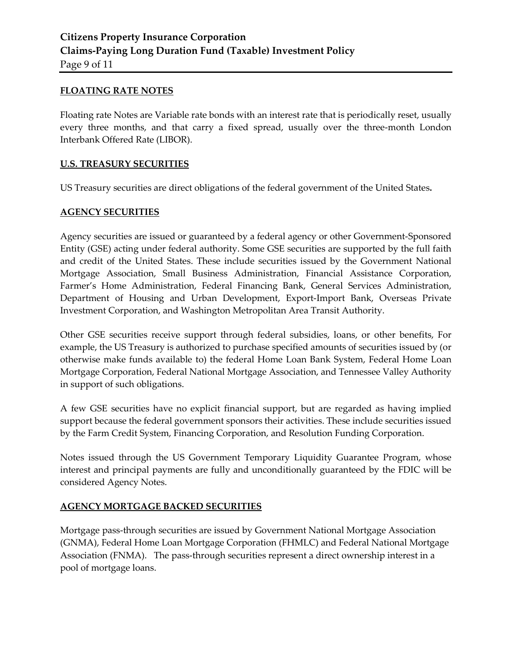#### **FLOATING RATE NOTES**

Floating rate Notes are Variable rate bonds with an interest rate that is periodically reset, usually every three months, and that carry a fixed spread, usually over the three-month London Interbank Offered Rate (LIBOR).

#### **U.S. TREASURY SECURITIES**

US Treasury securities are direct obligations of the federal government of the United States**.**

#### **AGENCY SECURITIES**

Agency securities are issued or guaranteed by a federal agency or other Government-Sponsored Entity (GSE) acting under federal authority. Some GSE securities are supported by the full faith and credit of the United States. These include securities issued by the Government National Mortgage Association, Small Business Administration, Financial Assistance Corporation, Farmer's Home Administration, Federal Financing Bank, General Services Administration, Department of Housing and Urban Development, Export-Import Bank, Overseas Private Investment Corporation, and Washington Metropolitan Area Transit Authority.

Other GSE securities receive support through federal subsidies, loans, or other benefits, For example, the US Treasury is authorized to purchase specified amounts of securities issued by (or otherwise make funds available to) the federal Home Loan Bank System, Federal Home Loan Mortgage Corporation, Federal National Mortgage Association, and Tennessee Valley Authority in support of such obligations.

A few GSE securities have no explicit financial support, but are regarded as having implied support because the federal government sponsors their activities. These include securities issued by the Farm Credit System, Financing Corporation, and Resolution Funding Corporation.

Notes issued through the US Government Temporary Liquidity Guarantee Program, whose interest and principal payments are fully and unconditionally guaranteed by the FDIC will be considered Agency Notes.

## **AGENCY MORTGAGE BACKED SECURITIES**

Mortgage pass-through securities are issued by Government National Mortgage Association (GNMA), Federal Home Loan Mortgage Corporation (FHMLC) and Federal National Mortgage Association (FNMA). The pass-through securities represent a direct ownership interest in a pool of mortgage loans.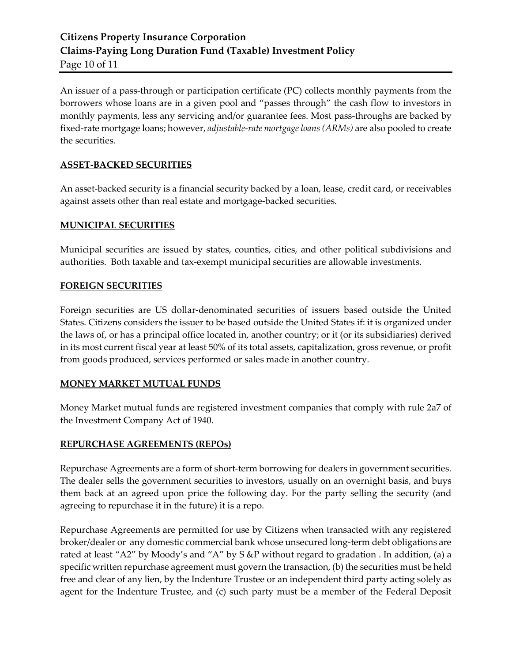An issuer of a pass-through or participation certificate (PC) collects monthly payments from the borrowers whose loans are in a given pool and "passes through" the cash flow to investors in monthly payments, less any servicing and/or guarantee fees. Most pass-throughs are backed by fixed-rate mortgage loans; however, *adjustable-rate mortgage loans (ARMs)* are also pooled to create the securities.

## **ASSET-BACKED SECURITIES**

An asset-backed security is a financial security backed by a loan, lease, credit card, or receivables against assets other than real estate and mortgage-backed securities.

## **MUNICIPAL SECURITIES**

Municipal securities are issued by states, counties, cities, and other political subdivisions and authorities. Both taxable and tax-exempt municipal securities are allowable investments.

## **FOREIGN SECURITIES**

Foreign securities are US dollar-denominated securities of issuers based outside the United States. Citizens considers the issuer to be based outside the United States if: it is organized under the laws of, or has a principal office located in, another country; or it (or its subsidiaries) derived in its most current fiscal year at least 50% of its total assets, capitalization, gross revenue, or profit from goods produced, services performed or sales made in another country.

# **MONEY MARKET MUTUAL FUNDS**

Money Market mutual funds are registered investment companies that comply with rule 2a7 of the Investment Company Act of 1940.

## **REPURCHASE AGREEMENTS (REPOs)**

Repurchase Agreements are a form of short-term borrowing for dealers in government securities. The dealer sells the government securities to investors, usually on an overnight basis, and buys them back at an agreed upon price the following day. For the party selling the security (and agreeing to repurchase it in the future) it is a repo.

Repurchase Agreements are permitted for use by Citizens when transacted with any registered broker/dealer or any domestic commercial bank whose unsecured long-term debt obligations are rated at least "A2" by Moody's and "A" by S &P without regard to gradation . In addition, (a) a specific written repurchase agreement must govern the transaction, (b) the securities must be held free and clear of any lien, by the Indenture Trustee or an independent third party acting solely as agent for the Indenture Trustee, and (c) such party must be a member of the Federal Deposit